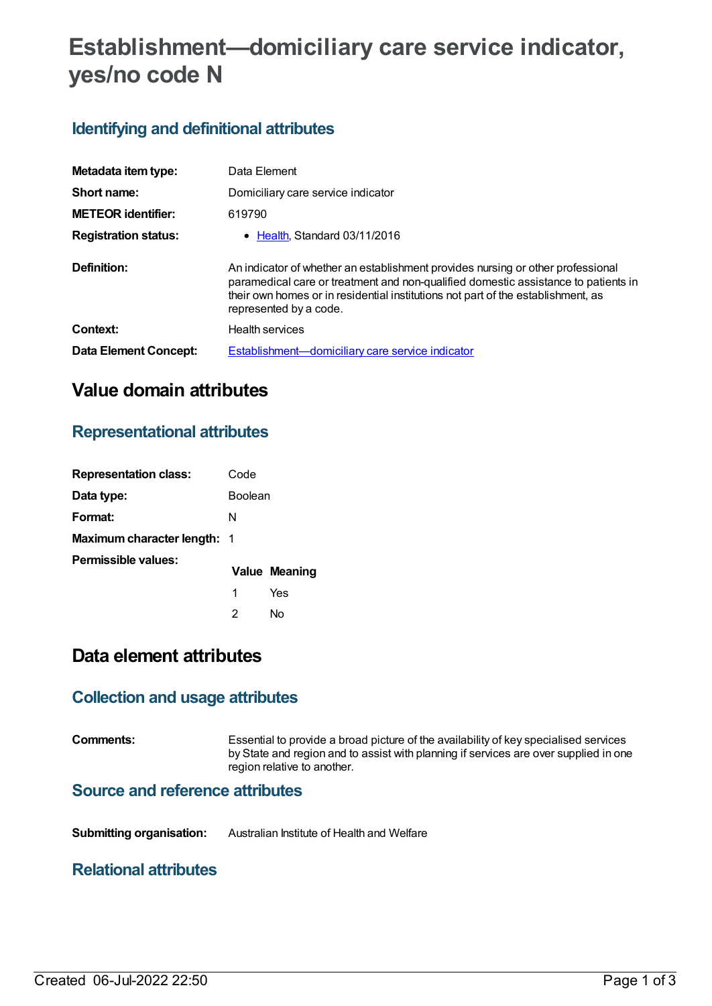# **Establishment—domiciliary care service indicator, yes/no code N**

# **Identifying and definitional attributes**

| Metadata item type:          | Data Element                                                                                                                                                                                                                                                                        |
|------------------------------|-------------------------------------------------------------------------------------------------------------------------------------------------------------------------------------------------------------------------------------------------------------------------------------|
| Short name:                  | Domiciliary care service indicator                                                                                                                                                                                                                                                  |
| <b>METEOR identifier:</b>    | 619790                                                                                                                                                                                                                                                                              |
| <b>Registration status:</b>  | • Health, Standard 03/11/2016                                                                                                                                                                                                                                                       |
| Definition:                  | An indicator of whether an establishment provides nursing or other professional<br>paramedical care or treatment and non-qualified domestic assistance to patients in<br>their own homes or in residential institutions not part of the establishment, as<br>represented by a code. |
| Context:                     | <b>Health services</b>                                                                                                                                                                                                                                                              |
| <b>Data Element Concept:</b> | Establishment-domiciliary care service indicator                                                                                                                                                                                                                                    |

# **Value domain attributes**

## **Representational attributes**

| <b>Representation class:</b>       | Code    |                      |
|------------------------------------|---------|----------------------|
| Data type:                         | Boolean |                      |
| Format:                            | N       |                      |
| <b>Maximum character length: 1</b> |         |                      |
| Permissible values:                |         | <b>Value Meaning</b> |
|                                    | 1       | Yes                  |
|                                    | 2       | N٥                   |

# **Data element attributes**

### **Collection and usage attributes**

**Comments:** Essential to provide a broad picture of the availability of key specialised services by State and region and to assist with planning if services are over supplied in one region relative to another.

#### **Source and reference attributes**

**Submitting organisation:** Australian Institute of Health and Welfare

### **Relational attributes**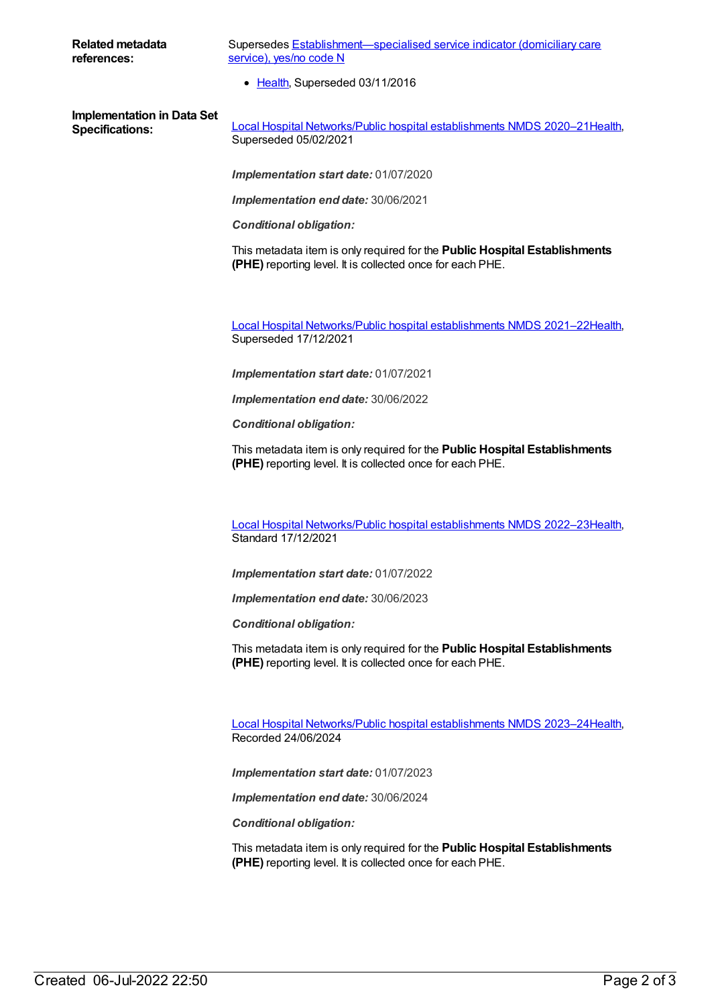| Related metadata |  |
|------------------|--|
| references:      |  |

Supersedes [Establishment—specialised](https://meteor.aihw.gov.au/content/270430) service indicator (domiciliary care service), yes/no code N

• [Health](https://meteor.aihw.gov.au/RegistrationAuthority/12), Superseded 03/11/2016

**Implementation in Data Set**

**Specifications:** Local Hospital [Networks/Public](https://meteor.aihw.gov.au/content/713848) hospital establishments NMDS 2020–21[Health](https://meteor.aihw.gov.au/RegistrationAuthority/12), Superseded 05/02/2021

*Implementation start date:* 01/07/2020

*Implementation end date:* 30/06/2021

*Conditional obligation:*

This metadata item is only required for the **Public Hospital Establishments (PHE)** reporting level. It is collected once for each PHE.

Local Hospital [Networks/Public](https://meteor.aihw.gov.au/content/727356) hospital establishments NMDS 2021–22[Health](https://meteor.aihw.gov.au/RegistrationAuthority/12), Superseded 17/12/2021

*Implementation start date:* 01/07/2021

*Implementation end date:* 30/06/2022

*Conditional obligation:*

This metadata item is only required for the **Public Hospital Establishments (PHE)** reporting level. It is collected once for each PHE.

Local Hospital [Networks/Public](https://meteor.aihw.gov.au/content/742044) hospital establishments NMDS 2022–23[Health](https://meteor.aihw.gov.au/RegistrationAuthority/12), Standard 17/12/2021

*Implementation start date:* 01/07/2022

*Implementation end date:* 30/06/2023

*Conditional obligation:*

This metadata item is only required for the **Public Hospital Establishments (PHE)** reporting level. It is collected once for each PHE.

Local Hospital [Networks/Public](https://meteor.aihw.gov.au/content/756101) hospital establishments NMDS 2023–24[Health](https://meteor.aihw.gov.au/RegistrationAuthority/12), Recorded 24/06/2024

*Implementation start date:* 01/07/2023

*Implementation end date:* 30/06/2024

*Conditional obligation:*

This metadata item is only required for the **Public Hospital Establishments (PHE)** reporting level. It is collected once for each PHE.